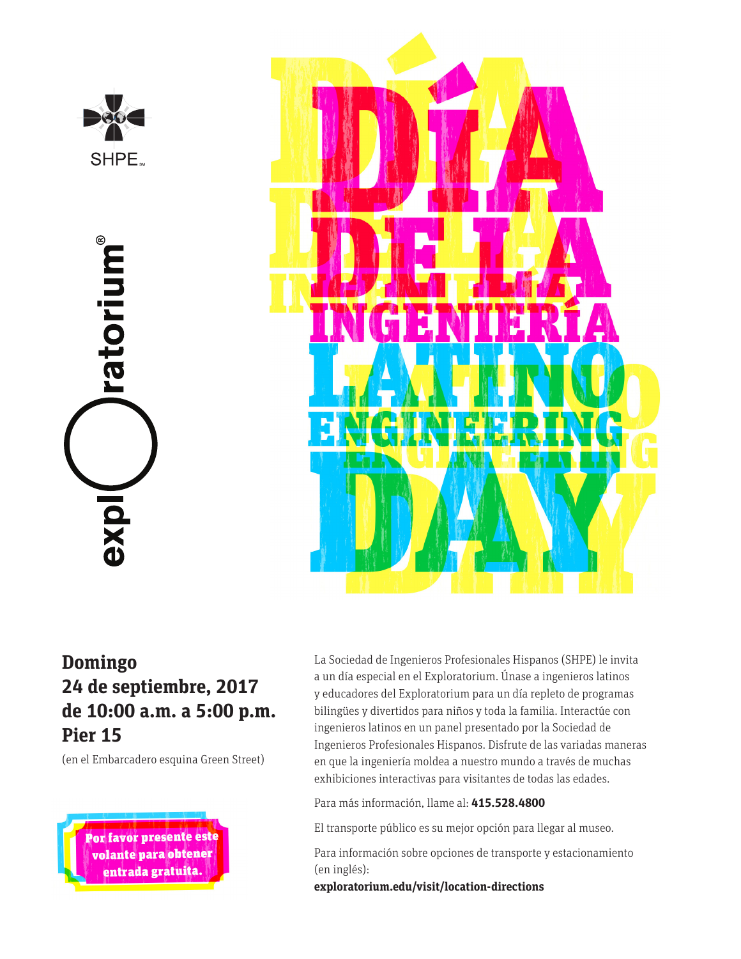

ratorium® exp



## **Domingo 24 de septiembre, 2017 de 10:00 a.m. a 5:00 p.m. Pier 15**

(en el Embarcadero esquina Green Street)



La Sociedad de Ingenieros Profesionales Hispanos (SHPE) le invita a un día especial en el Exploratorium. Únase a ingenieros latinos y educadores del Exploratorium para un día repleto de programas bilingües y divertidos para niños y toda la familia. Interactúe con ingenieros latinos en un panel presentado por la Sociedad de Ingenieros Profesionales Hispanos. Disfrute de las variadas maneras en que la ingeniería moldea a nuestro mundo a través de muchas exhibiciones interactivas para visitantes de todas las edades.

Para más información, llame al: **415.528.4800**

El transporte público es su mejor opción para llegar al museo.

Para información sobre opciones de transporte y estacionamiento (en inglés):

**exploratorium.edu/visit/location-directions**